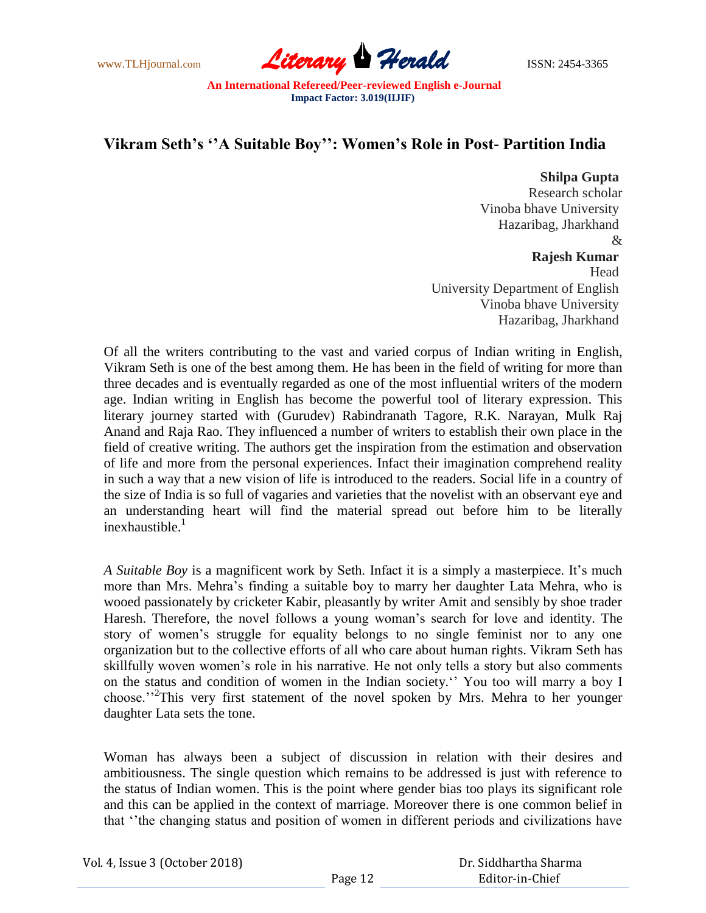www.TLHjournal.com **Literary Herald ISSN: 2454-3365** 

## **Vikram Seth's ''A Suitable Boy'': Women's Role in Post- Partition India**

## **Shilpa Gupta**

Research scholar Vinoba bhave University Hazaribag, Jharkhand &

## **Rajesh Kumar**

Head University Department of English Vinoba bhave University Hazaribag, Jharkhand

Of all the writers contributing to the vast and varied corpus of Indian writing in English, Vikram Seth is one of the best among them. He has been in the field of writing for more than three decades and is eventually regarded as one of the most influential writers of the modern age. Indian writing in English has become the powerful tool of literary expression. This literary journey started with (Gurudev) Rabindranath Tagore, R.K. Narayan, Mulk Raj Anand and Raja Rao. They influenced a number of writers to establish their own place in the field of creative writing. The authors get the inspiration from the estimation and observation of life and more from the personal experiences. Infact their imagination comprehend reality in such a way that a new vision of life is introduced to the readers. Social life in a country of the size of India is so full of vagaries and varieties that the novelist with an observant eye and an understanding heart will find the material spread out before him to be literally inexhaustible. $<sup>1</sup>$ </sup>

*A Suitable Boy* is a magnificent work by Seth. Infact it is a simply a masterpiece. It's much more than Mrs. Mehra's finding a suitable boy to marry her daughter Lata Mehra, who is wooed passionately by cricketer Kabir, pleasantly by writer Amit and sensibly by shoe trader Haresh. Therefore, the novel follows a young woman's search for love and identity. The story of women's struggle for equality belongs to no single feminist nor to any one organization but to the collective efforts of all who care about human rights. Vikram Seth has skillfully woven women's role in his narrative. He not only tells a story but also comments on the status and condition of women in the Indian society.'' You too will marry a boy I choose.''<sup>2</sup> This very first statement of the novel spoken by Mrs. Mehra to her younger daughter Lata sets the tone.

Woman has always been a subject of discussion in relation with their desires and ambitiousness. The single question which remains to be addressed is just with reference to the status of Indian women. This is the point where gender bias too plays its significant role and this can be applied in the context of marriage. Moreover there is one common belief in that ''the changing status and position of women in different periods and civilizations have

| Vol. 4, Issue 3 (October 2018) |         | Dr. Siddhartha Sharma |
|--------------------------------|---------|-----------------------|
|                                | Page 12 | Editor-in-Chief       |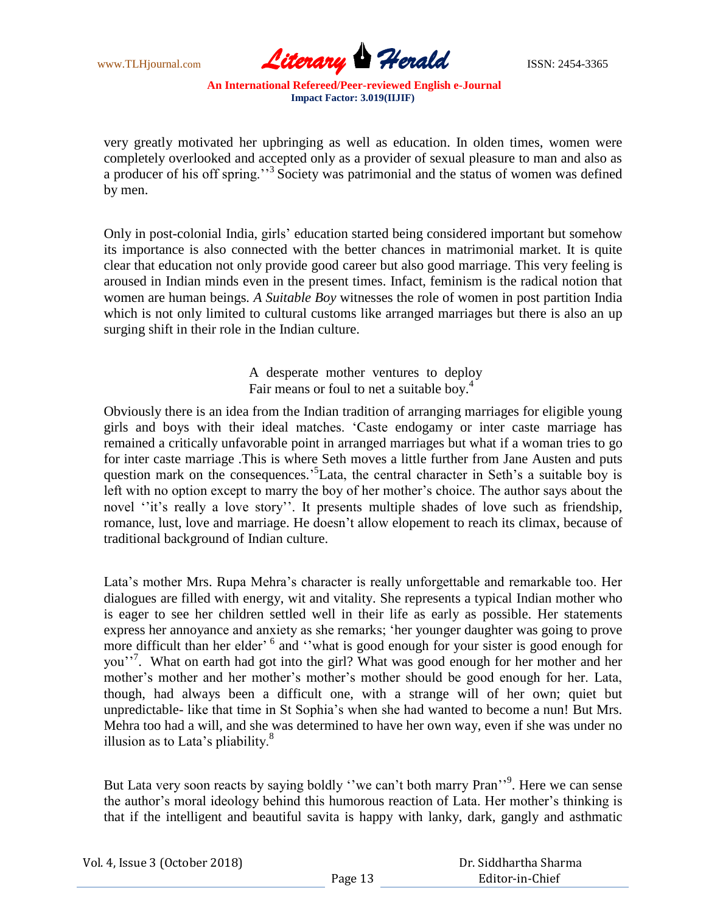

very greatly motivated her upbringing as well as education. In olden times, women were completely overlooked and accepted only as a provider of sexual pleasure to man and also as a producer of his off spring."<sup>3</sup> Society was patrimonial and the status of women was defined by men.

Only in post-colonial India, girls' education started being considered important but somehow its importance is also connected with the better chances in matrimonial market. It is quite clear that education not only provide good career but also good marriage. This very feeling is aroused in Indian minds even in the present times. Infact, feminism is the radical notion that women are human beings*. A Suitable Boy* witnesses the role of women in post partition India which is not only limited to cultural customs like arranged marriages but there is also an up surging shift in their role in the Indian culture.

> A desperate mother ventures to deploy Fair means or foul to net a suitable boy.<sup>4</sup>

Obviously there is an idea from the Indian tradition of arranging marriages for eligible young girls and boys with their ideal matches. 'Caste endogamy or inter caste marriage has remained a critically unfavorable point in arranged marriages but what if a woman tries to go for inter caste marriage .This is where Seth moves a little further from Jane Austen and puts question mark on the consequences.<sup>5</sup>Lata, the central character in Seth's a suitable boy is left with no option except to marry the boy of her mother's choice. The author says about the novel "it's really a love story". It presents multiple shades of love such as friendship, romance, lust, love and marriage. He doesn't allow elopement to reach its climax, because of traditional background of Indian culture.

Lata's mother Mrs. Rupa Mehra's character is really unforgettable and remarkable too. Her dialogues are filled with energy, wit and vitality. She represents a typical Indian mother who is eager to see her children settled well in their life as early as possible. Her statements express her annoyance and anxiety as she remarks; 'her younger daughter was going to prove more difficult than her elder<sup>, 6</sup> and "what is good enough for your sister is good enough for you"<sup>7</sup>. What on earth had got into the girl? What was good enough for her mother and her mother's mother and her mother's mother's mother should be good enough for her. Lata, though, had always been a difficult one, with a strange will of her own; quiet but unpredictable- like that time in St Sophia's when she had wanted to become a nun! But Mrs. Mehra too had a will, and she was determined to have her own way, even if she was under no illusion as to Lata's pliability. $8$ 

But Lata very soon reacts by saying boldly "we can't both marry Pran"<sup>9</sup>. Here we can sense the author's moral ideology behind this humorous reaction of Lata. Her mother's thinking is that if the intelligent and beautiful savita is happy with lanky, dark, gangly and asthmatic

| Vol. 4, Issue 3 (October 2018) |         | Dr. Siddhartha Sharma |
|--------------------------------|---------|-----------------------|
|                                | Page 13 | Editor-in-Chief       |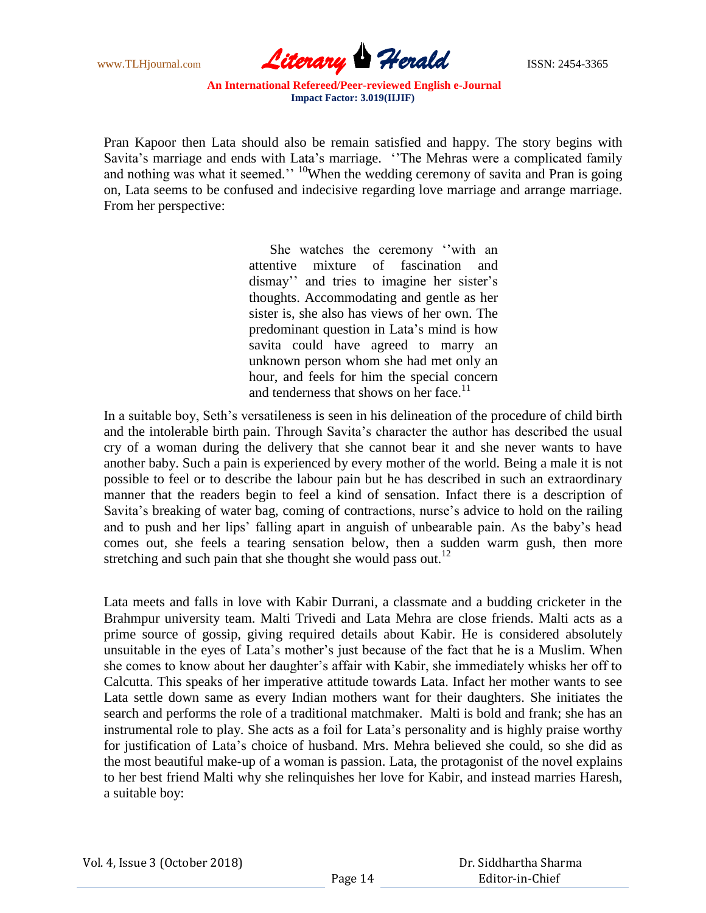

Pran Kapoor then Lata should also be remain satisfied and happy. The story begins with Savita's marriage and ends with Lata's marriage. ''The Mehras were a complicated family and nothing was what it seemed.''  $\frac{10}{10}$ When the wedding ceremony of savita and Pran is going on, Lata seems to be confused and indecisive regarding love marriage and arrange marriage. From her perspective:

> She watches the ceremony ''with an attentive mixture of fascination and dismay'' and tries to imagine her sister's thoughts. Accommodating and gentle as her sister is, she also has views of her own. The predominant question in Lata's mind is how savita could have agreed to marry an unknown person whom she had met only an hour, and feels for him the special concern and tenderness that shows on her face.<sup>11</sup>

In a suitable boy, Seth's versatileness is seen in his delineation of the procedure of child birth and the intolerable birth pain. Through Savita's character the author has described the usual cry of a woman during the delivery that she cannot bear it and she never wants to have another baby. Such a pain is experienced by every mother of the world. Being a male it is not possible to feel or to describe the labour pain but he has described in such an extraordinary manner that the readers begin to feel a kind of sensation. Infact there is a description of Savita's breaking of water bag, coming of contractions, nurse's advice to hold on the railing and to push and her lips' falling apart in anguish of unbearable pain. As the baby's head comes out, she feels a tearing sensation below, then a sudden warm gush, then more stretching and such pain that she thought she would pass out.<sup>12</sup>

Lata meets and falls in love with Kabir Durrani, a classmate and a budding cricketer in the Brahmpur university team. Malti Trivedi and Lata Mehra are close friends. Malti acts as a prime source of gossip, giving required details about Kabir. He is considered absolutely unsuitable in the eyes of Lata's mother's just because of the fact that he is a Muslim. When she comes to know about her daughter's affair with Kabir, she immediately whisks her off to Calcutta. This speaks of her imperative attitude towards Lata. Infact her mother wants to see Lata settle down same as every Indian mothers want for their daughters. She initiates the search and performs the role of a traditional matchmaker. Malti is bold and frank; she has an instrumental role to play. She acts as a foil for Lata's personality and is highly praise worthy for justification of Lata's choice of husband. Mrs. Mehra believed she could, so she did as the most beautiful make-up of a woman is passion. Lata, the protagonist of the novel explains to her best friend Malti why she relinquishes her love for Kabir, and instead marries Haresh, a suitable boy: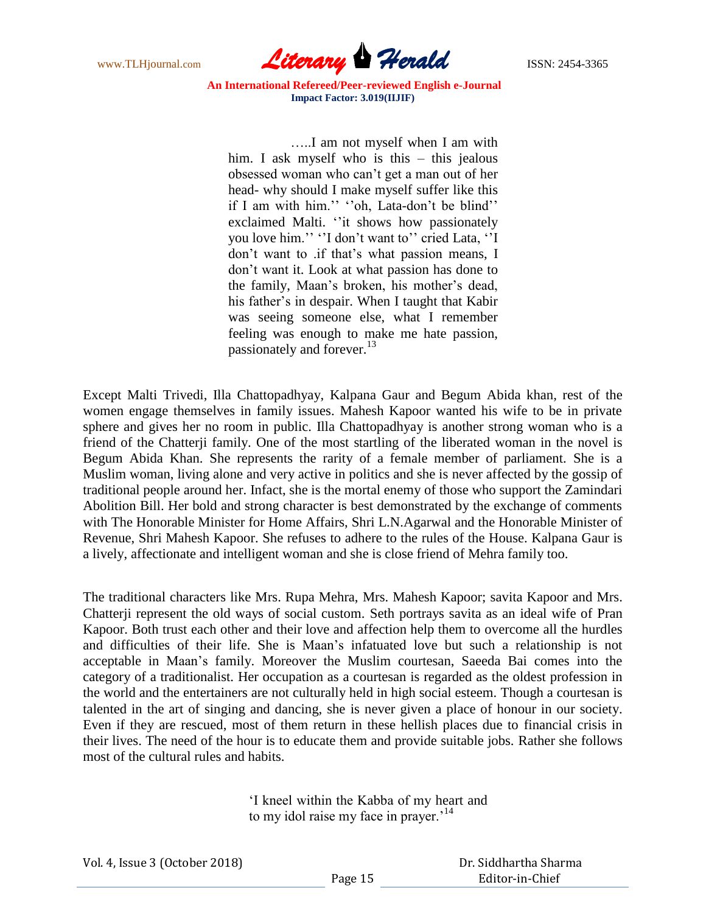

…..I am not myself when I am with him. I ask myself who is this – this jealous obsessed woman who can't get a man out of her head- why should I make myself suffer like this if I am with him.'' ''oh, Lata-don't be blind'' exclaimed Malti. ''it shows how passionately you love him.'' ''I don't want to'' cried Lata, ''I don't want to .if that's what passion means, I don't want it. Look at what passion has done to the family, Maan's broken, his mother's dead, his father's in despair. When I taught that Kabir was seeing someone else, what I remember feeling was enough to make me hate passion, passionately and forever.<sup>13</sup>

Except Malti Trivedi, Illa Chattopadhyay, Kalpana Gaur and Begum Abida khan, rest of the women engage themselves in family issues. Mahesh Kapoor wanted his wife to be in private sphere and gives her no room in public. Illa Chattopadhyay is another strong woman who is a friend of the Chatterji family. One of the most startling of the liberated woman in the novel is Begum Abida Khan. She represents the rarity of a female member of parliament. She is a Muslim woman, living alone and very active in politics and she is never affected by the gossip of traditional people around her. Infact, she is the mortal enemy of those who support the Zamindari Abolition Bill. Her bold and strong character is best demonstrated by the exchange of comments with The Honorable Minister for Home Affairs, Shri L.N.Agarwal and the Honorable Minister of Revenue, Shri Mahesh Kapoor. She refuses to adhere to the rules of the House. Kalpana Gaur is a lively, affectionate and intelligent woman and she is close friend of Mehra family too.

The traditional characters like Mrs. Rupa Mehra, Mrs. Mahesh Kapoor; savita Kapoor and Mrs. Chatterji represent the old ways of social custom. Seth portrays savita as an ideal wife of Pran Kapoor. Both trust each other and their love and affection help them to overcome all the hurdles and difficulties of their life. She is Maan's infatuated love but such a relationship is not acceptable in Maan's family. Moreover the Muslim courtesan, Saeeda Bai comes into the category of a traditionalist. Her occupation as a courtesan is regarded as the oldest profession in the world and the entertainers are not culturally held in high social esteem. Though a courtesan is talented in the art of singing and dancing, she is never given a place of honour in our society. Even if they are rescued, most of them return in these hellish places due to financial crisis in their lives. The need of the hour is to educate them and provide suitable jobs. Rather she follows most of the cultural rules and habits.

> 'I kneel within the Kabba of my heart and to my idol raise my face in prayer.<sup>'14</sup>

| Vol. 4, Issue 3 (October 2018) |  |  |
|--------------------------------|--|--|
|--------------------------------|--|--|

 Dr. Siddhartha Sharma Editor-in-Chief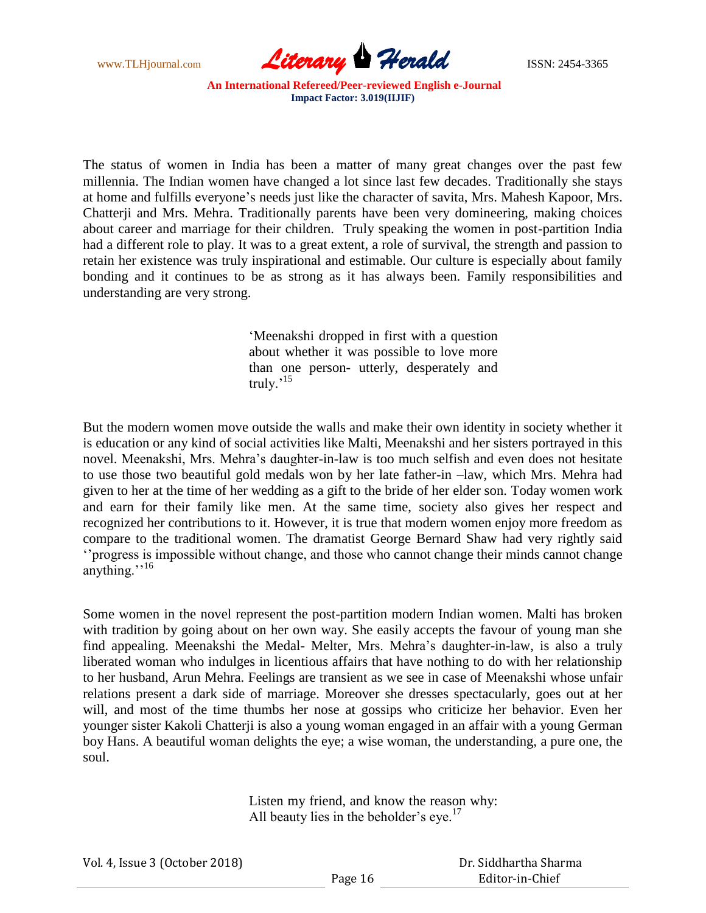

The status of women in India has been a matter of many great changes over the past few millennia. The Indian women have changed a lot since last few decades. Traditionally she stays at home and fulfills everyone's needs just like the character of savita, Mrs. Mahesh Kapoor, Mrs. Chatterji and Mrs. Mehra. Traditionally parents have been very domineering, making choices about career and marriage for their children. Truly speaking the women in post-partition India had a different role to play. It was to a great extent, a role of survival, the strength and passion to retain her existence was truly inspirational and estimable. Our culture is especially about family bonding and it continues to be as strong as it has always been. Family responsibilities and understanding are very strong.

> 'Meenakshi dropped in first with a question about whether it was possible to love more than one person- utterly, desperately and truly.<sup>15</sup>

But the modern women move outside the walls and make their own identity in society whether it is education or any kind of social activities like Malti, Meenakshi and her sisters portrayed in this novel. Meenakshi, Mrs. Mehra's daughter-in-law is too much selfish and even does not hesitate to use those two beautiful gold medals won by her late father-in –law, which Mrs. Mehra had given to her at the time of her wedding as a gift to the bride of her elder son. Today women work and earn for their family like men. At the same time, society also gives her respect and recognized her contributions to it. However, it is true that modern women enjoy more freedom as compare to the traditional women. The dramatist George Bernard Shaw had very rightly said ''progress is impossible without change, and those who cannot change their minds cannot change anything."<sup>16</sup>

Some women in the novel represent the post-partition modern Indian women. Malti has broken with tradition by going about on her own way. She easily accepts the favour of young man she find appealing. Meenakshi the Medal- Melter, Mrs. Mehra's daughter-in-law, is also a truly liberated woman who indulges in licentious affairs that have nothing to do with her relationship to her husband, Arun Mehra. Feelings are transient as we see in case of Meenakshi whose unfair relations present a dark side of marriage. Moreover she dresses spectacularly, goes out at her will, and most of the time thumbs her nose at gossips who criticize her behavior. Even her younger sister Kakoli Chatterji is also a young woman engaged in an affair with a young German boy Hans. A beautiful woman delights the eye; a wise woman, the understanding, a pure one, the soul.

> Listen my friend, and know the reason why: All beauty lies in the beholder's eye.<sup>17</sup>

| Vol. 4, Issue 3 (October 2018) |  |
|--------------------------------|--|
|--------------------------------|--|

 Dr. Siddhartha Sharma Editor-in-Chief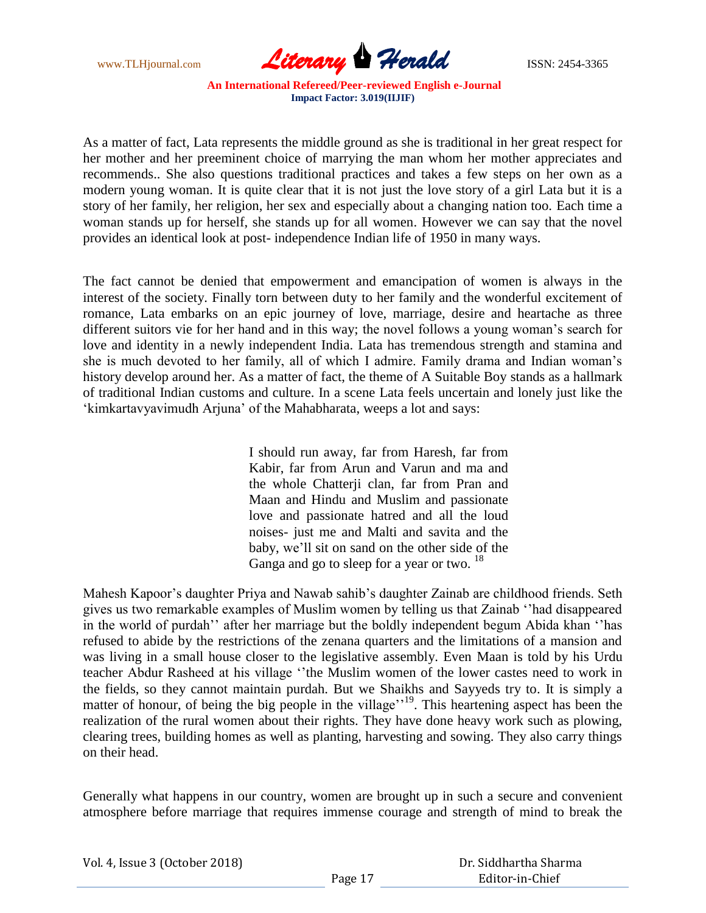

As a matter of fact, Lata represents the middle ground as she is traditional in her great respect for her mother and her preeminent choice of marrying the man whom her mother appreciates and recommends.. She also questions traditional practices and takes a few steps on her own as a modern young woman. It is quite clear that it is not just the love story of a girl Lata but it is a story of her family, her religion, her sex and especially about a changing nation too. Each time a woman stands up for herself, she stands up for all women. However we can say that the novel provides an identical look at post- independence Indian life of 1950 in many ways.

The fact cannot be denied that empowerment and emancipation of women is always in the interest of the society. Finally torn between duty to her family and the wonderful excitement of romance, Lata embarks on an epic journey of love, marriage, desire and heartache as three different suitors vie for her hand and in this way; the novel follows a young woman's search for love and identity in a newly independent India. Lata has tremendous strength and stamina and she is much devoted to her family, all of which I admire. Family drama and Indian woman's history develop around her. As a matter of fact, the theme of A Suitable Boy stands as a hallmark of traditional Indian customs and culture. In a scene Lata feels uncertain and lonely just like the 'kimkartavyavimudh Arjuna' of the Mahabharata, weeps a lot and says:

> I should run away, far from Haresh, far from Kabir, far from Arun and Varun and ma and the whole Chatterii clan, far from Pran and Maan and Hindu and Muslim and passionate love and passionate hatred and all the loud noises- just me and Malti and savita and the baby, we'll sit on sand on the other side of the Ganga and go to sleep for a year or two.  $18$

Mahesh Kapoor's daughter Priya and Nawab sahib's daughter Zainab are childhood friends. Seth gives us two remarkable examples of Muslim women by telling us that Zainab ''had disappeared in the world of purdah'' after her marriage but the boldly independent begum Abida khan ''has refused to abide by the restrictions of the zenana quarters and the limitations of a mansion and was living in a small house closer to the legislative assembly. Even Maan is told by his Urdu teacher Abdur Rasheed at his village ''the Muslim women of the lower castes need to work in the fields, so they cannot maintain purdah. But we Shaikhs and Sayyeds try to. It is simply a matter of honour, of being the big people in the village'<sup>19</sup>. This heartening aspect has been the realization of the rural women about their rights. They have done heavy work such as plowing, clearing trees, building homes as well as planting, harvesting and sowing. They also carry things on their head.

Generally what happens in our country, women are brought up in such a secure and convenient atmosphere before marriage that requires immense courage and strength of mind to break the

| Vol. 4, Issue 3 (October 2018) |         | Dr. Siddhartha Sharma |  |
|--------------------------------|---------|-----------------------|--|
|                                | Page 17 | Editor-in-Chief       |  |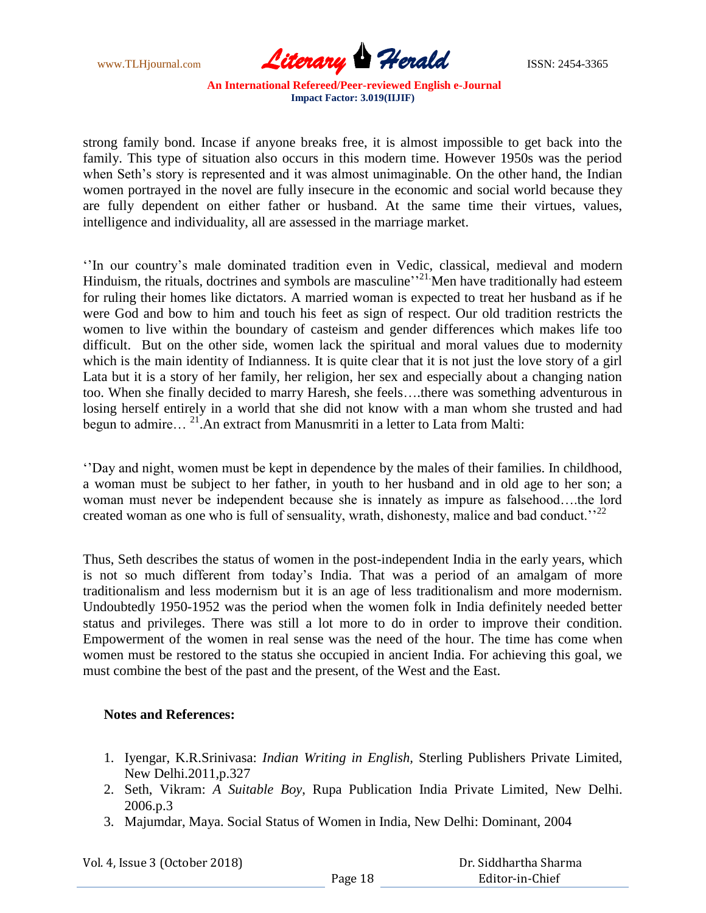

strong family bond. Incase if anyone breaks free, it is almost impossible to get back into the family. This type of situation also occurs in this modern time. However 1950s was the period when Seth's story is represented and it was almost unimaginable. On the other hand, the Indian women portrayed in the novel are fully insecure in the economic and social world because they are fully dependent on either father or husband. At the same time their virtues, values, intelligence and individuality, all are assessed in the marriage market.

''In our country's male dominated tradition even in Vedic, classical, medieval and modern Hinduism, the rituals, doctrines and symbols are masculine'<sup>21</sup>. Men have traditionally had esteem for ruling their homes like dictators. A married woman is expected to treat her husband as if he were God and bow to him and touch his feet as sign of respect. Our old tradition restricts the women to live within the boundary of casteism and gender differences which makes life too difficult. But on the other side, women lack the spiritual and moral values due to modernity which is the main identity of Indianness. It is quite clear that it is not just the love story of a girl Lata but it is a story of her family, her religion, her sex and especially about a changing nation too. When she finally decided to marry Haresh, she feels….there was something adventurous in losing herself entirely in a world that she did not know with a man whom she trusted and had begun to admire… <sup>21</sup>.An extract from Manusmriti in a letter to Lata from Malti:

''Day and night, women must be kept in dependence by the males of their families. In childhood, a woman must be subject to her father, in youth to her husband and in old age to her son; a woman must never be independent because she is innately as impure as falsehood….the lord created woman as one who is full of sensuality, wrath, dishonesty, malice and bad conduct.<sup>''22</sup>

Thus, Seth describes the status of women in the post-independent India in the early years, which is not so much different from today's India. That was a period of an amalgam of more traditionalism and less modernism but it is an age of less traditionalism and more modernism. Undoubtedly 1950-1952 was the period when the women folk in India definitely needed better status and privileges. There was still a lot more to do in order to improve their condition. Empowerment of the women in real sense was the need of the hour. The time has come when women must be restored to the status she occupied in ancient India. For achieving this goal, we must combine the best of the past and the present, of the West and the East.

## **Notes and References:**

- 1. Iyengar, K.R.Srinivasa: *Indian Writing in English,* Sterling Publishers Private Limited, New Delhi.2011,p.327
- 2. Seth, Vikram: *A Suitable Boy*, Rupa Publication India Private Limited, New Delhi. 2006.p.3
- 3. Majumdar, Maya. Social Status of Women in India, New Delhi: Dominant, 2004

Vol. 4, Issue 3 (October 2018)

 Dr. Siddhartha Sharma Editor-in-Chief